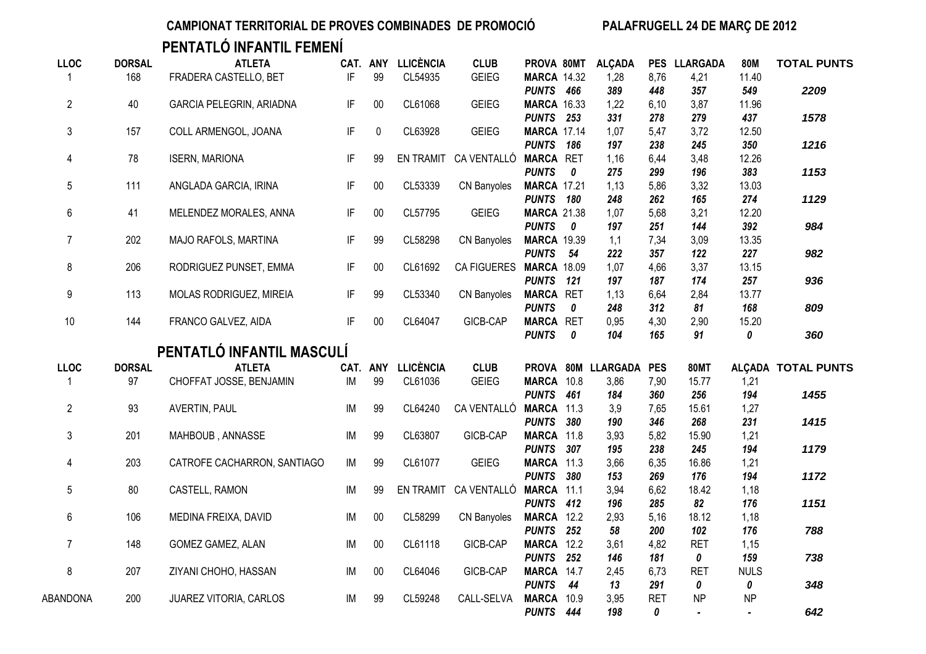**PENTATLÓ INFANTIL FEMENÍ**

| <b>LLOC</b>    | <b>DORSAL</b> | <b>ATLETA</b>                   |    | CAT. ANY  | <b>LLICÈNCIA</b> | <b>CLUB</b>             | PROVA 80MT              |                  | <b>ALÇADA</b>      |                 | PES LLARGADA                | <b>80M</b>                  | <b>TOTAL PUNTS</b>        |
|----------------|---------------|---------------------------------|----|-----------|------------------|-------------------------|-------------------------|------------------|--------------------|-----------------|-----------------------------|-----------------------------|---------------------------|
| -1             | 168           | FRADERA CASTELLO, BET           | IF | 99        | CL54935          | <b>GEIEG</b>            | <b>MARCA 14.32</b>      |                  | 1,28               | 8,76            | 4,21                        | 11.40                       |                           |
|                |               |                                 |    |           |                  |                         | PUNTS 466               |                  | 389                | 448             | 357                         | 549                         | 2209                      |
| $\overline{2}$ | 40            | <b>GARCIA PELEGRIN, ARIADNA</b> | IF | $00\,$    | CL61068          | <b>GEIEG</b>            | <b>MARCA 16.33</b>      |                  | 1,22               | 6,10            | 3,87                        | 11.96                       |                           |
|                |               |                                 |    |           |                  |                         | PUNTS 253               |                  | 331                | 278             | 279                         | 437                         | 1578                      |
| 3              | 157           | COLL ARMENGOL, JOANA            | IF | $\pmb{0}$ | CL63928          | <b>GEIEG</b>            | <b>MARCA 17.14</b>      |                  | 1,07               | 5,47            | 3,72                        | 12.50                       |                           |
|                |               |                                 |    |           |                  |                         | PUNTS 186               |                  | 197                | 238             | 245                         | 350                         | 1216                      |
| 4              | 78            | <b>ISERN, MARIONA</b>           | IF | 99        |                  | EN TRAMIT CA VENTALLÓ   | <b>MARCA RET</b>        |                  | 1,16               | 6,44            | 3,48                        | 12.26                       |                           |
|                |               |                                 |    |           |                  |                         | <b>PUNTS</b>            | $\boldsymbol{0}$ | 275                | 299             | 196                         | 383                         | 1153                      |
| 5              | 111           | ANGLADA GARCIA, IRINA           | IF | $00\,$    | CL53339          | CN Banyoles             | <b>MARCA 17.21</b>      |                  | 1,13               | 5,86            | 3,32                        | 13.03                       |                           |
|                |               |                                 |    |           |                  |                         | PUNTS 180               |                  | 248                | 262             | 165                         | 274                         | 1129                      |
| 6              | 41            | MELENDEZ MORALES, ANNA          | IF | $00\,$    | CL57795          | <b>GEIEG</b>            | <b>MARCA 21.38</b>      |                  | 1,07               | 5,68            | 3,21                        | 12.20                       |                           |
|                |               |                                 |    |           |                  |                         | <b>PUNTS</b>            | $\boldsymbol{0}$ | 197                | 251             | 144                         | 392                         | 984                       |
| $\overline{7}$ | 202           | MAJO RAFOLS, MARTINA            | IF | 99        | CL58298          | <b>CN Banyoles</b>      | <b>MARCA 19.39</b>      |                  | 1,1                | 7,34            | 3,09                        | 13.35                       |                           |
|                |               |                                 |    |           |                  |                         | PUNTS 54                |                  | 222                | 357             | 122                         | 227                         | 982                       |
| 8              | 206           | RODRIGUEZ PUNSET, EMMA          | IF | $00\,$    | CL61692          | CA FIGUERES MARCA 18.09 |                         |                  | 1,07               | 4,66            | 3,37                        | 13.15                       |                           |
|                |               |                                 |    |           |                  |                         | PUNTS 121               |                  | 197                | 187             | 174                         | 257                         | 936                       |
| 9              | 113           | MOLAS RODRIGUEZ, MIREIA         | IF | 99        | CL53340          | CN Banyoles             | <b>MARCA RET</b>        |                  | 1,13               | 6,64            | 2,84                        | 13.77                       |                           |
|                |               |                                 |    |           |                  |                         | <b>PUNTS</b>            | 0                | 248                | 312             | 81                          | 168                         | 809                       |
| 10             | 144           | FRANCO GALVEZ, AIDA             | IF | $00\,$    | CL64047          | GICB-CAP                | <b>MARCA RET</b>        |                  | 0,95               | 4,30            | 2,90                        | 15.20                       |                           |
|                |               |                                 |    |           |                  |                         | <b>PUNTS</b>            | $\boldsymbol{0}$ | 104                | 165             | 91                          | 0                           | 360                       |
|                |               | PENTATLÓ INFANTIL MASCULÍ       |    |           |                  |                         |                         |                  |                    |                 |                             |                             |                           |
| <b>LLOC</b>    | <b>DORSAL</b> | <b>ATLETA</b>                   |    | CAT. ANY  | <b>LLICÈNCIA</b> | <b>CLUB</b>             |                         |                  | PROVA 80M LLARGADA | <b>PES</b>      | <b>80MT</b>                 |                             | <b>ALCADA TOTAL PUNTS</b> |
| $\mathbf{1}$   | 97            | CHOFFAT JOSSE, BENJAMIN         | IM | 99        | CL61036          | <b>GEIEG</b>            | MARCA 10.8              |                  | 3,86               | 7,90            | 15.77                       | 1,21                        |                           |
|                |               |                                 |    |           |                  |                         | PUNTS 461               |                  | 184                | 360             | 256                         | 194                         | 1455                      |
| $\overline{2}$ | 93            | AVERTIN, PAUL                   | IM | 99        | CL64240          | CA VENTALLÓ             | MARCA 11.3              |                  | 3,9                | 7,65            | 15.61                       | 1,27                        |                           |
|                |               |                                 |    |           |                  |                         | PUNTS 380               |                  | 190                | 346             | 268                         | 231                         | 1415                      |
| 3              | 201           | MAHBOUB, ANNASSE                | IM | 99        | CL63807          | <b>GICB-CAP</b>         | MARCA 11.8              |                  | 3,93               | 5,82            | 15.90                       | 1,21                        |                           |
|                |               |                                 |    |           |                  |                         | PUNTS 307               |                  | 195                | 238             | 245                         | 194                         | 1179                      |
| 4              | 203           | CATROFE CACHARRON, SANTIAGO     | IM | 99        | CL61077          | <b>GEIEG</b>            | MARCA 11.3              |                  | 3,66               | 6,35            | 16.86                       | 1,21                        |                           |
|                |               |                                 |    |           |                  |                         | PUNTS 380               |                  | 153                | 269             | 176                         | 194                         | 1172                      |
| 5              | 80            |                                 |    | 99        |                  |                         |                         |                  | 3,94               | 6,62            | 18.42                       | 1,18                        |                           |
|                |               | CASTELL, RAMON                  | IM |           |                  | EN TRAMIT CA VENTALLÓ   | MARCA 11.1              |                  |                    |                 |                             |                             |                           |
|                |               |                                 |    |           |                  |                         | PUNTS 412               |                  | 196                | 285             | 82                          | 176                         | 1151                      |
| 6              | 106           | MEDINA FREIXA, DAVID            | IM | 00        | CL58299          | <b>CN Banyoles</b>      | <b>MARCA 12.2</b>       |                  | 2,93               | 5,16            | 18.12                       | 1,18                        |                           |
|                |               |                                 |    |           |                  |                         | PUNTS 252               |                  | 58                 | 200             | 102                         | 176                         | 788                       |
| $\overline{7}$ | 148           | GOMEZ GAMEZ, ALAN               | IM | $00\,$    | CL61118          | GICB-CAP                | <b>MARCA 12.2</b>       |                  | 3,61               | 4,82            | <b>RET</b>                  | 1,15                        |                           |
|                |               |                                 |    |           |                  |                         | PUNTS 252               |                  | 146                | 181             | 0                           | 159                         | 738                       |
| 8              | 207           | ZIYANI CHOHO, HASSAN            | IM | $00\,$    | CL64046          | GICB-CAP                | MARCA 14.7              |                  | 2,45               | 6,73            | <b>RET</b>                  | <b>NULS</b>                 |                           |
|                |               |                                 |    |           |                  |                         | <b>PUNTS</b>            | 44               | 13                 | 291             | 0                           | 0                           | 348                       |
| ABANDONA       | 200           | JUAREZ VITORIA, CARLOS          | IM | 99        | CL59248          | CALL-SELVA              | MARCA 10.9<br>PUNTS 444 |                  | 3,95<br>198        | <b>RET</b><br>0 | <b>NP</b><br>$\blacksquare$ | <b>NP</b><br>$\blacksquare$ | 642                       |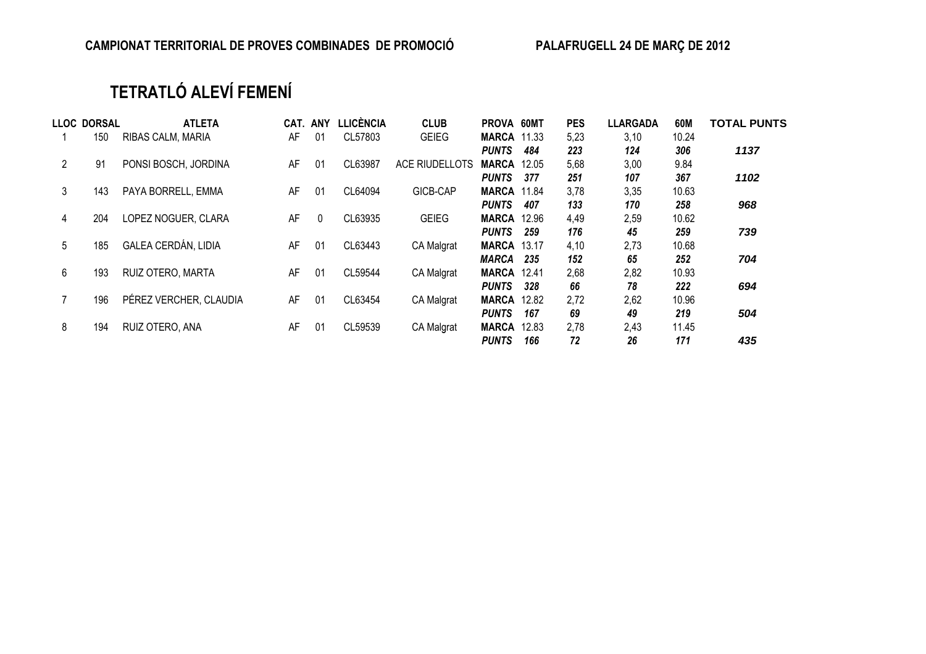## **TETRATLÓ ALEVÍ FEMENÍ**

|                | <b>LLOC DORSAL</b> | <b>ATLETA</b>          |    | CAT. ANY     | LLICÈNCIA | <b>CLUB</b>       | PROVA 60MT         |       | <b>PES</b> | <b>LLARGADA</b> | 60M   | <b>TOTAL PUNTS</b> |
|----------------|--------------------|------------------------|----|--------------|-----------|-------------------|--------------------|-------|------------|-----------------|-------|--------------------|
|                | 150                | RIBAS CALM, MARIA      | AF | -01          | CL57803   | <b>GEIEG</b>      | <b>MARCA 11.33</b> |       | 5,23       | 3,10            | 10.24 |                    |
|                |                    |                        |    |              |           |                   | <b>PUNTS</b>       | 484   | 223        | 124             | 306   | 1137               |
| $\overline{2}$ | 91                 | PONSI BOSCH, JORDINA   | AF | -01          | CL63987   | ACE RIUDELLOTS    | <b>MARCA</b>       | 12.05 | 5,68       | 3,00            | 9.84  |                    |
|                |                    |                        |    |              |           |                   | <b>PUNTS</b>       | 377   | 251        | 107             | 367   | 1102               |
| 3              | 143                | PAYA BORRELL, EMMA     | AF | 01           | CL64094   | GICB-CAP          | <b>MARCA 11.84</b> |       | 3,78       | 3,35            | 10.63 |                    |
|                |                    |                        |    |              |           |                   | <b>PUNTS</b>       | 407   | 133        | 170             | 258   | 968                |
| 4              | 204                | LOPEZ NOGUER, CLARA    | AF | $\mathbf{0}$ | CL63935   | <b>GEIEG</b>      | <b>MARCA</b>       | 12.96 | 4,49       | 2,59            | 10.62 |                    |
|                |                    |                        |    |              |           |                   | <b>PUNTS</b>       | 259   | 176        | 45              | 259   | 739                |
| 5              | 185                | GALEA CERDÁN, LIDIA    | AF | 01           | CL63443   | <b>CA Malgrat</b> | <b>MARCA 13.17</b> |       | 4,10       | 2,73            | 10.68 |                    |
|                |                    |                        |    |              |           |                   | MARCA              | 235   | 152        | 65              | 252   | 704                |
| 6              | 193                | RUIZ OTERO, MARTA      | AF | -01          | CL59544   | CA Malgrat        | <b>MARCA 12.41</b> |       | 2,68       | 2,82            | 10.93 |                    |
|                |                    |                        |    |              |           |                   | <b>PUNTS</b>       | 328   | 66         | 78              | 222   | 694                |
|                | 196                | PÉREZ VERCHER, CLAUDIA | AF | 01           | CL63454   | CA Malgrat        | <b>MARCA</b>       | 12.82 | 2,72       | 2,62            | 10.96 |                    |
|                |                    |                        |    |              |           |                   | <b>PUNTS</b>       | 167   | 69         | 49              | 219   | 504                |
| 8              | 194                | RUIZ OTERO, ANA        | AF | -01          | CL59539   | CA Malgrat        | <b>MARCA</b>       | 12.83 | 2,78       | 2,43            | 11.45 |                    |
|                |                    |                        |    |              |           |                   | <b>PUNTS</b>       | 166   | 72         | 26              | 171   | 435                |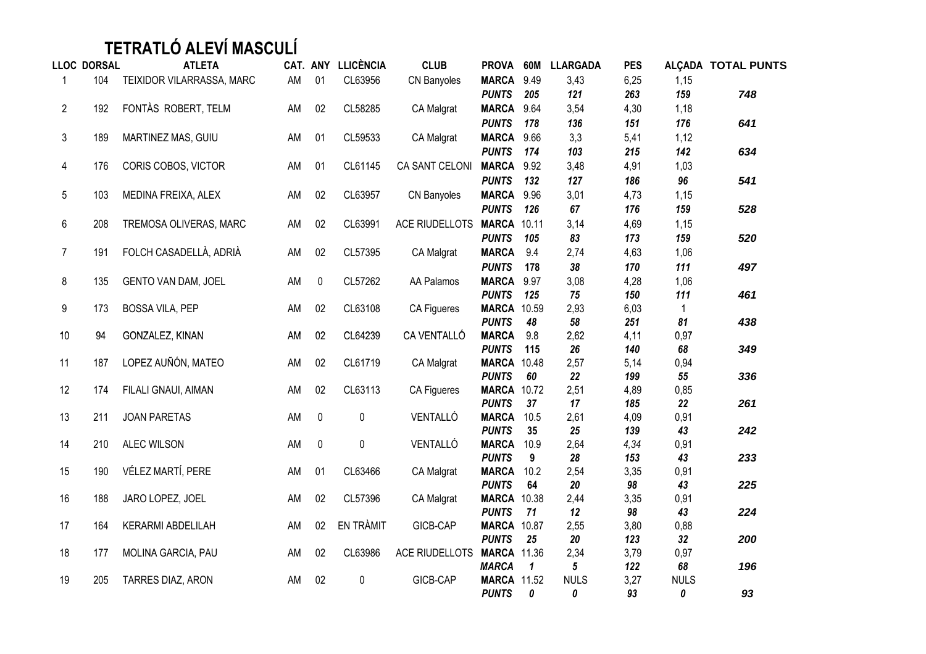## **TETRATLÓ ALEVÍ MASCULÍ**

|                | <b>LLOC DORSAL</b> | <b>ATLETA</b>              |    |             | CAT. ANY LLICÈNCIA | <b>CLUB</b>           | PROVA 60M                    |                         | <b>LLARGADA</b> | <b>PES</b>  |              | ALÇADA TOTAL PUNTS |
|----------------|--------------------|----------------------------|----|-------------|--------------------|-----------------------|------------------------------|-------------------------|-----------------|-------------|--------------|--------------------|
| $\mathbf 1$    | 104                | TEIXIDOR VILARRASSA, MARC  | AM | 01          | CL63956            | CN Banyoles           | MARCA 9.49                   |                         | 3,43            | 6,25        | 1,15         |                    |
|                |                    |                            |    |             |                    |                       | <b>PUNTS</b>                 | 205                     | 121             | 263         | 159          | 748                |
| $\overline{2}$ | 192                | FONTÀS ROBERT, TELM        | AM | 02          | CL58285            | CA Malgrat            | MARCA 9.64                   |                         | 3,54            | 4,30        | 1,18         |                    |
|                |                    |                            |    |             |                    |                       | <b>PUNTS</b>                 | 178                     | 136             | 151         | 176          | 641                |
| $\mathsf 3$    | 189                | MARTINEZ MAS, GUIU         | AM | 01          | CL59533            | CA Malgrat            | MARCA 9.66                   |                         | 3,3             | 5,41        | 1,12         |                    |
|                |                    |                            |    |             |                    |                       | <b>PUNTS</b>                 | 174                     | 103             | 215         | 142          | 634                |
| $\overline{4}$ | 176                | CORIS COBOS, VICTOR        | AM | 01          | CL61145            | CA SANT CELONI        | MARCA 9.92                   |                         | 3,48            | 4,91        | 1,03         |                    |
|                |                    |                            |    |             |                    |                       | <b>PUNTS</b>                 | 132                     | 127             | 186         | 96           | 541                |
| 5              | 103                | MEDINA FREIXA, ALEX        | AM | 02          | CL63957            | CN Banyoles           | MARCA 9.96                   |                         | 3,01            | 4,73        | 1,15         |                    |
|                |                    |                            |    |             |                    |                       | <b>PUNTS</b>                 | 126                     | 67              | 176         | 159          | 528                |
| 6              | 208                | TREMOSA OLIVERAS, MARC     | AM | 02          | CL63991            | <b>ACE RIUDELLOTS</b> | <b>MARCA 10.11</b>           |                         | 3,14            | 4,69        | 1,15         |                    |
|                |                    |                            |    |             |                    |                       | <b>PUNTS</b>                 | 105                     | 83              | 173         | 159          | 520                |
| $\overline{7}$ | 191                | FOLCH CASADELLÀ, ADRIÀ     | AM | 02          | CL57395            | CA Malgrat            | <b>MARCA</b>                 | 9.4                     | 2,74            | 4,63        | 1,06         |                    |
|                |                    |                            |    |             |                    |                       | <b>PUNTS</b>                 | 178                     | 38              | 170         | 111          | 497                |
| 8              | 135                | <b>GENTO VAN DAM, JOEL</b> | AM | $\pmb{0}$   | CL57262            | AA Palamos            | MARCA 9.97                   |                         | 3,08            | 4,28        | 1,06         |                    |
|                |                    |                            |    |             |                    |                       | <b>PUNTS</b>                 | 125                     | 75              | 150         | 111          | 461                |
| 9              | 173                | <b>BOSSA VILA, PEP</b>     | AM | 02          | CL63108            | CA Figueres           | <b>MARCA 10.59</b>           |                         | 2,93            | 6,03        | $\mathbf{1}$ |                    |
|                |                    |                            |    |             |                    |                       | <b>PUNTS</b>                 | 48                      | 58              | 251         | 81           | 438                |
| $10$           | 94                 | GONZALEZ, KINAN            | AM | 02          | CL64239            | CA VENTALLÓ           | <b>MARCA</b>                 | 9.8                     | 2,62            | 4,11        | 0,97         |                    |
|                |                    |                            |    |             |                    |                       | <b>PUNTS</b>                 | 115                     | 26              | 140         | 68           | 349                |
| 11             | 187                | LOPEZ AUÑÓN, MATEO         | AM | 02          | CL61719            | CA Malgrat            | <b>MARCA 10.48</b>           |                         | 2,57            | 5,14        | 0,94         |                    |
|                |                    |                            |    |             |                    |                       | <b>PUNTS</b>                 | 60                      | 22              | 199         | 55           | 336                |
| 12             | 174                | FILALI GNAUI, AIMAN        | AM | 02          | CL63113            | CA Figueres           | <b>MARCA 10.72</b>           |                         | 2,51            | 4,89        | 0,85         |                    |
|                |                    |                            |    |             |                    |                       | <b>PUNTS</b>                 | 37                      | 17              | 185         | 22           | 261                |
| 13             | 211                | <b>JOAN PARETAS</b>        | AM | $\mathbf 0$ | $\pmb{0}$          | VENTALLÓ              | <b>MARCA</b><br><b>PUNTS</b> | 10.5<br>35              | 2,61<br>25      | 4,09<br>139 | 0,91<br>43   | 242                |
| 14             | 210                | ALEC WILSON                | AM | $\pmb{0}$   | $\pmb{0}$          | VENTALLÓ              | <b>MARCA</b>                 | 10.9                    | 2,64            | 4,34        | 0,91         |                    |
|                |                    |                            |    |             |                    |                       | <b>PUNTS</b>                 | 9                       | 28              | 153         | 43           | 233                |
| 15             | 190                | VÉLEZ MARTÍ, PERE          | AM | 01          | CL63466            | CA Malgrat            | <b>MARCA</b>                 | 10.2                    | 2,54            | 3,35        | 0,91         |                    |
|                |                    |                            |    |             |                    |                       | <b>PUNTS</b>                 | 64                      | 20              | 98          | 43           | 225                |
| 16             | 188                | JARO LOPEZ, JOEL           | AM | 02          | CL57396            | CA Malgrat            | <b>MARCA 10.38</b>           |                         | 2,44            | 3,35        | 0,91         |                    |
|                |                    |                            |    |             |                    |                       | <b>PUNTS</b>                 | 71                      | 12              | 98          | 43           | 224                |
| 17             | 164                | KERARMI ABDELILAH          | AM | 02          | EN TRÀMIT          | GICB-CAP              | <b>MARCA 10.87</b>           |                         | 2,55            | 3,80        | 0,88         |                    |
|                |                    |                            |    |             |                    |                       | <b>PUNTS</b>                 | 25                      | 20              | 123         | 32           | 200                |
| 18             | 177                | MOLINA GARCIA, PAU         | AM | 02          | CL63986            | ACE RIUDELLOTS        | <b>MARCA 11.36</b>           |                         | 2,34            | 3,79        | 0,97         |                    |
|                |                    |                            |    |             |                    |                       | <b>MARCA</b>                 | $\overline{\mathbf{1}}$ | 5               | 122         | 68           | 196                |
| 19             | 205                | TARRES DIAZ, ARON          | AM | 02          | $\pmb{0}$          | GICB-CAP              | <b>MARCA 11.52</b>           |                         | <b>NULS</b>     | 3,27        | <b>NULS</b>  |                    |
|                |                    |                            |    |             |                    |                       | <b>PUNTS</b>                 | 0                       | 0               | 93          | 0            | 93                 |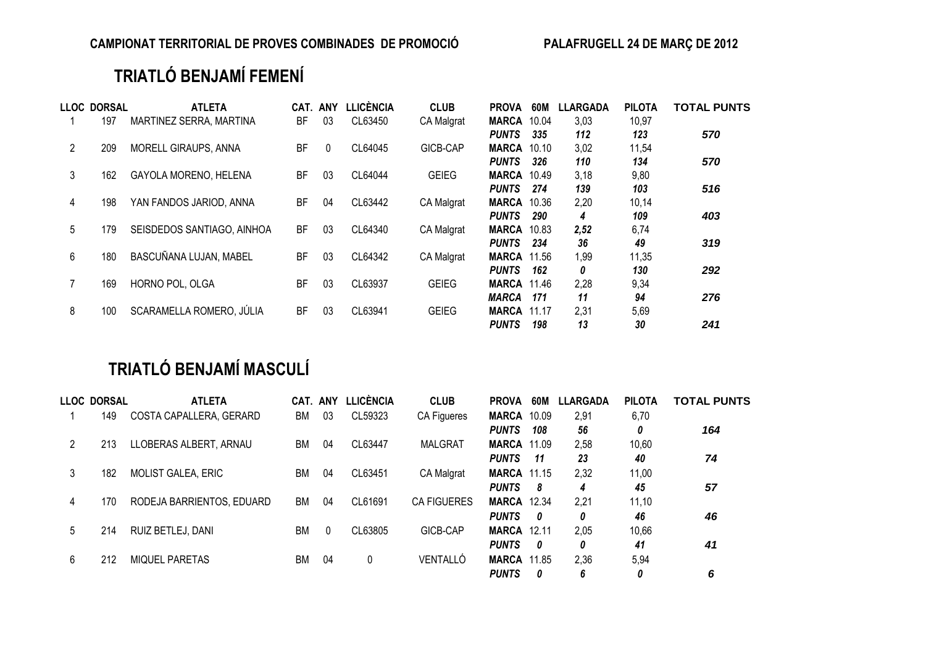## **TRIATLÓ BENJAMÍ FEMENÍ**

|                | LLOC DORSAL | <b>ATLETA</b>                | CAT.      | <b>ANY</b>   | <b>LLICÈNCIA</b> | <b>CLUB</b>       | <b>PROVA</b>       | 60M   | <b>LLARGADA</b> | <b>PILOTA</b> | <b>TOTAL PUNTS</b> |
|----------------|-------------|------------------------------|-----------|--------------|------------------|-------------------|--------------------|-------|-----------------|---------------|--------------------|
|                | 197         | MARTINEZ SERRA, MARTINA      | ВF        | 03           | CL63450          | <b>CA Malgrat</b> | <b>MARCA</b>       | 10.04 | 3,03            | 10,97         |                    |
|                |             |                              |           |              |                  |                   | <b>PUNTS</b>       | 335   | 112             | 123           | 570                |
| $\overline{2}$ | 209         | <b>MORELL GIRAUPS, ANNA</b>  | BF        | $\mathbf{0}$ | CL64045          | GICB-CAP          | <b>MARCA</b>       | 10.10 | 3,02            | 11,54         |                    |
|                |             |                              |           |              |                  |                   | <b>PUNTS</b>       | 326   | 110             | 134           | 570                |
| 3              | 162         | <b>GAYOLA MORENO, HELENA</b> | BF        | 03           | CL64044          | <b>GEIEG</b>      | <b>MARCA 10.49</b> |       | 3,18            | 9,80          |                    |
|                |             |                              |           |              |                  |                   | <b>PUNTS</b>       | 274   | 139             | 103           | 516                |
| 4              | 198         | YAN FANDOS JARIOD, ANNA      | BF        | 04           | CL63442          | <b>CA Malgrat</b> | <b>MARCA</b>       | 10.36 | 2,20            | 10,14         |                    |
|                |             |                              |           |              |                  |                   | <b>PUNTS</b>       | 290   | 4               | 109           | 403                |
| 5              | 179         | SEISDEDOS SANTIAGO, AINHOA   | <b>BF</b> | 03           | CL64340          | <b>CA Malgrat</b> | <b>MARCA</b>       | 10.83 | 2,52            | 6,74          |                    |
|                |             |                              |           |              |                  |                   | <b>PUNTS</b>       | 234   | 36              | 49            | 319                |
| 6              | 180         | BASCUÑANA LUJAN, MABEL       | <b>BF</b> | 03           | CL64342          | <b>CA Malgrat</b> | <b>MARCA 11.56</b> |       | 1,99            | 11,35         |                    |
|                |             |                              |           |              |                  |                   | <b>PUNTS</b>       | 162   | 0               | 130           | 292                |
| 7              | 169         | HORNO POL, OLGA              | ВF        | 03           | CL63937          | <b>GEIEG</b>      | <b>MARCA 11.46</b> |       | 2,28            | 9,34          |                    |
|                |             |                              |           |              |                  |                   | <b>MARCA</b>       | 171   | 11              | 94            | 276                |
| 8              | 100         | SCARAMELLA ROMERO, JÚLIA     | BF        | 03           | CL63941          | <b>GEIEG</b>      | <b>MARCA</b>       | 11.17 | 2,31            | 5,69          |                    |
|                |             |                              |           |              |                  |                   | <b>PUNTS</b>       | 198   | 13              | 30            | 241                |

## **TRIATLÓ BENJAMÍ MASCULÍ**

|   | <b>LLOC DORSAL</b> | <b>ATLETA</b>             | CAT. ANY |          | LLICÈNCIA | <b>CLUB</b>        | <b>PROVA</b>       | 60M   | <b>LLARGADA</b> | <b>PILOTA</b> | <b>TOTAL PUNTS</b> |
|---|--------------------|---------------------------|----------|----------|-----------|--------------------|--------------------|-------|-----------------|---------------|--------------------|
|   | 149                | COSTA CAPALLERA, GERARD   | ВM       | 03       | CL59323   | CA Figueres        | <b>MARCA</b>       | 10.09 | 2,91            | 6,70          |                    |
|   |                    |                           |          |          |           |                    | <b>PUNTS</b>       | 108   | 56              | 0             | 164                |
|   | 213                | LLOBERAS ALBERT, ARNAU    | ВM       | 04       | CL63447   | <b>MALGRAT</b>     | <b>MARCA 11.09</b> |       | 2,58            | 10,60         |                    |
|   |                    |                           |          |          |           |                    | <b>PUNTS</b>       | -11   | 23              | 40            | 74                 |
| 3 | 182                | <b>MOLIST GALEA, ERIC</b> | ВM       | 04       | CL63451   | CA Malgrat         | <b>MARCA 11.15</b> |       | 2,32            | 11,00         |                    |
|   |                    |                           |          |          |           |                    | <b>PUNTS</b>       | - 8   | 4               | 45            | 57                 |
| 4 | 170                | RODEJA BARRIENTOS, EDUARD | ВM       | 04       | CL61691   | <b>CA FIGUERES</b> | <b>MARCA</b>       | 12.34 | 2,21            | 11,10         |                    |
|   |                    |                           |          |          |           |                    | <b>PUNTS</b>       | 0     | 0               | 46            | 46                 |
| 5 | 214                | RUIZ BETLEJ, DANI         | ВM       | $\Omega$ | CL63805   | GICB-CAP           | <b>MARCA 12.11</b> |       | 2.05            | 10,66         |                    |
|   |                    |                           |          |          |           |                    | <b>PUNTS</b>       | - 0   | 0               | 41            | 41                 |
| 6 | 212                | <b>MIQUEL PARETAS</b>     | ВM       | 04       | 0         | VENTALLÓ           | <b>MARCA 11.85</b> |       | 2,36            | 5,94          |                    |
|   |                    |                           |          |          |           |                    | <b>PUNTS</b>       | 0     | 6               | 0             | 6                  |
|   |                    |                           |          |          |           |                    |                    |       |                 |               |                    |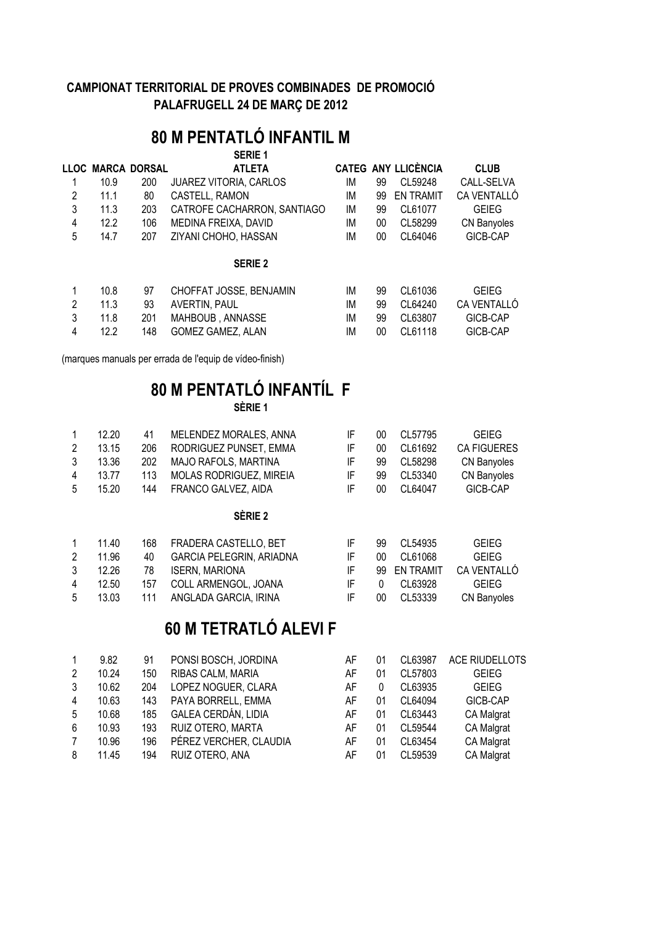## **80 M PENTATLÓ INFANTIL M**

|                |      |                   | <b>SERIE 1</b>                |    |    |                            |              |
|----------------|------|-------------------|-------------------------------|----|----|----------------------------|--------------|
|                |      | LLOC MARCA DORSAL | <b>ATLETA</b>                 |    |    | <b>CATEG ANY LLICÈNCIA</b> | <b>CLUB</b>  |
|                | 10.9 | 200               | <b>JUAREZ VITORIA, CARLOS</b> | ΙM | 99 | CL59248                    | CALL-SELVA   |
| 2              | 11.1 | 80                | CASTELL, RAMON                | ΙM | 99 | <b>EN TRAMIT</b>           | CA VENTALLÓ  |
| 3              | 11.3 | 203               | CATROFE CACHARRON, SANTIAGO   | IM | 99 | CL61077                    | <b>GEIEG</b> |
| 4              | 12.2 | 106               | MEDINA FREIXA, DAVID          | IM | 00 | CL58299                    | CN Banyoles  |
| 5              | 14.7 | 207               | ZIYANI CHOHO, HASSAN          | IM | 00 | CL64046                    | GICB-CAP     |
|                |      |                   | <b>SERIE 2</b>                |    |    |                            |              |
|                | 10.8 | 97                | CHOFFAT JOSSE, BENJAMIN       | ΙM | 99 | CL61036                    | <b>GEIEG</b> |
| $\mathfrak{p}$ | 11.3 | 93                | AVERTIN, PAUL                 | IM | 99 | CL64240                    | CA VENTALLÓ  |
| 3              | 11.8 | 201               | MAHBOUB, ANNASSE              | IM | 99 | CL63807                    | GICB-CAP     |
| 4              | 12.2 | 148               | <b>GOMEZ GAMEZ, ALAN</b>      | ΙM | 00 | CL61118                    | GICB-CAP     |
|                |      |                   |                               |    |    |                            |              |

(marques manuals per errada de l'equip de vídeo-finish)

#### **80 M PENTATLÓ INFANTÍL F SÈRIE 1**

| $\mathbf{1}$   | 12.20 | 41  | MELENDEZ MORALES, ANNA          | IF | 00 | CL57795 | <b>GEIEG</b>       |
|----------------|-------|-----|---------------------------------|----|----|---------|--------------------|
| $\overline{2}$ | 13.15 | 206 | RODRIGUEZ PUNSET, EMMA          | IF | 00 | CL61692 | <b>CA FIGUERES</b> |
| 3              | 13.36 | 202 | MAJO RAFOLS, MARTINA            | IF | 99 | CL58298 | CN Banyoles        |
| 4              | 13.77 | 113 | MOLAS RODRIGUEZ, MIREIA         | IF | 99 | CL53340 | CN Banyoles        |
| 5              | 15.20 | 144 | FRANCO GALVEZ, AIDA             | IF | 00 | CL64047 | GICB-CAP           |
|                |       |     | SERIE 2                         |    |    |         |                    |
| 1              | 11.40 | 168 | FRADERA CASTELLO, BET           | IF | 99 | CL54935 | GEIEG              |
| 2              | 11.96 | 40  | <b>GARCIA PELEGRIN, ARIADNA</b> | IF | 00 | CL61068 | GEIEG              |

| $\mathbf{2}$ | 11.96   | 40 GARCIA PELEGRIN, ARIADNA       | IE.          | 00 CL61068   | <b>GEIEG</b>             |
|--------------|---------|-----------------------------------|--------------|--------------|--------------------------|
|              | 3 12.26 | 78 ISERN. MARIONA                 |              |              | 99 EN TRAMIT CA VENTALLÓ |
|              | 4 12.50 | 157 COLL ARMENGOL. JOANA          |              | IF 0 CL63928 | GEIEG.                   |
|              |         | 5 13.03 111 ANGLADA GARCIA. IRINA | $\mathbb{H}$ | 00 CL53339   | CN Banyoles              |

## **60 M TETRATLÓ ALEVI F**

|   | 9.82  | 91  | PONSI BOSCH, JORDINA   | AF | 01 | CL63987 | ACE RIUDELLOTS |
|---|-------|-----|------------------------|----|----|---------|----------------|
| 2 | 10.24 | 150 | RIBAS CALM, MARIA      | AF | 01 | CL57803 | <b>GEIEG</b>   |
| 3 | 10.62 | 204 | LOPEZ NOGUER, CLARA    | AF |    | CL63935 | <b>GEIEG</b>   |
| 4 | 10.63 | 143 | PAYA BORRELL, EMMA     | AF | 01 | CL64094 | GICB-CAP       |
| 5 | 10.68 | 185 | GALEA CERDÁN, LIDIA    | AF | 01 | CL63443 | CA Malgrat     |
| 6 | 10.93 | 193 | RUIZ OTERO, MARTA      | AF | 01 | CL59544 | CA Malgrat     |
| 7 | 10.96 | 196 | PÉREZ VERCHER, CLAUDIA | AF | 01 | CL63454 | CA Malgrat     |
| 8 | 11.45 | 194 | RUIZ OTERO, ANA        | AF | 01 | CL59539 | CA Malgrat     |
|   |       |     |                        |    |    |         |                |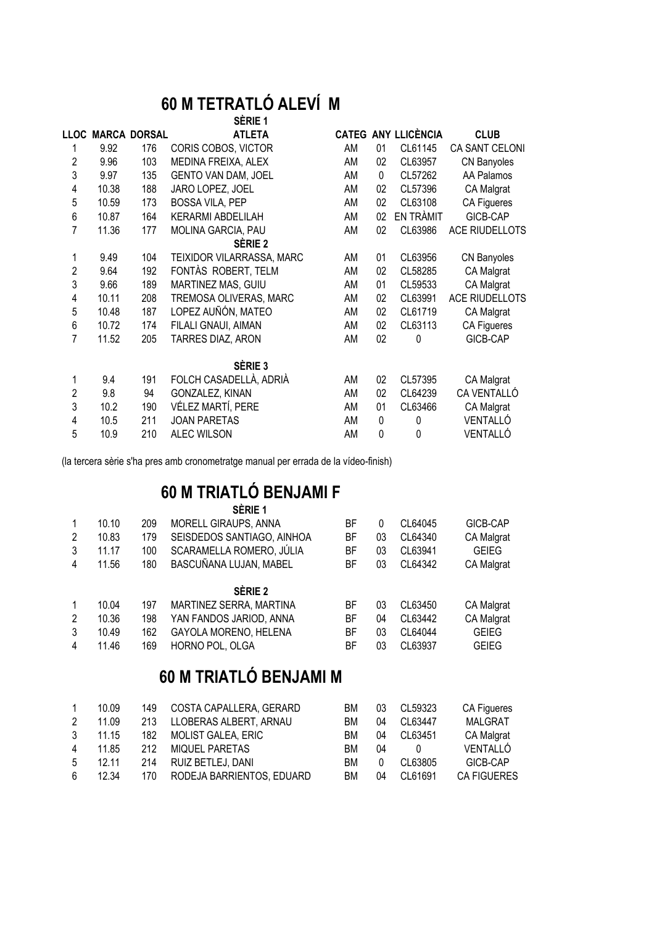#### **60 M TETRATLÓ ALEVÍ M SÈRIE 1**

|                |       |                     | JENIE I                   |    |              |                            |                       |
|----------------|-------|---------------------|---------------------------|----|--------------|----------------------------|-----------------------|
| <b>LLOC</b>    |       | <b>MARCA DORSAL</b> | <b>ATLETA</b>             |    |              | <b>CATEG ANY LLICÈNCIA</b> | <b>CLUB</b>           |
| 1              | 9.92  | 176                 | CORIS COBOS, VICTOR       | AM | 01           | CL61145                    | CA SANT CELONI        |
| 2              | 9.96  | 103                 | MEDINA FREIXA, ALEX       | AM | 02           | CL63957                    | CN Banyoles           |
| 3              | 9.97  | 135                 | GENTO VAN DAM, JOEL       | AM | $\mathbf{0}$ | CL57262                    | AA Palamos            |
| 4              | 10.38 | 188                 | JARO LOPEZ, JOEL          | AM | 02           | CL57396                    | CA Malgrat            |
| 5              | 10.59 | 173                 | <b>BOSSA VILA, PEP</b>    | AM | 02           | CL63108                    | CA Figueres           |
| 6              | 10.87 | 164                 | <b>KERARMI ABDELILAH</b>  | AM | 02           | EN TRÀMIT                  | GICB-CAP              |
| 7              | 11.36 | 177                 | MOLINA GARCIA, PAU        | AM | 02           | CL63986                    | <b>ACE RIUDELLOTS</b> |
|                |       |                     | SÈRIE 2                   |    |              |                            |                       |
| 1              | 9.49  | 104                 | TEIXIDOR VILARRASSA, MARC | AM | 01           | CL63956                    | CN Banyoles           |
| $\overline{2}$ | 9.64  | 192                 | FONTAS ROBERT, TELM       | AM | 02           | CL58285                    | CA Malgrat            |
| 3              | 9.66  | 189                 | MARTINEZ MAS, GUIU        | AM | 01           | CL59533                    | CA Malgrat            |
| $\overline{4}$ | 10.11 | 208                 | TREMOSA OLIVERAS, MARC    | AM | 02           | CL63991                    | <b>ACE RIUDELLOTS</b> |
| 5              | 10.48 | 187                 | LOPEZ AUÑÓN, MATEO        | AM | 02           | CL61719                    | CA Malgrat            |
| 6              | 10.72 | 174                 | FILALI GNAUI, AIMAN       | AM | 02           | CL63113                    | CA Figueres           |
| 7              | 11.52 | 205                 | TARRES DIAZ, ARON         | AM | 02           | 0                          | GICB-CAP              |
|                |       |                     | SÈRIE <sub>3</sub>        |    |              |                            |                       |
| 1              | 9.4   | 191                 | FOLCH CASADELLÀ, ADRIÀ    | AM | 02           | CL57395                    | CA Malgrat            |
| $\overline{2}$ | 9.8   | 94                  | GONZALEZ, KINAN           | AM | 02           | CL64239                    | CA VENTALLÓ           |
| 3              | 10.2  | 190                 | VÉLEZ MARTÍ, PERE         | AM | 01           | CL63466                    | CA Malgrat            |
| 4              | 10.5  | 211                 | <b>JOAN PARETAS</b>       | AM | 0            | 0                          | VENTALLÓ              |
| 5              | 10.9  | 210                 | <b>ALEC WILSON</b>        | AM | 0            | 0                          | VENTALLÓ              |
|                |       |                     |                           |    |              |                            |                       |

(la tercera sèrie s'ha pres amb cronometratge manual per errada de la vídeo-finish)

## **60 M TRIATLÓ BENJAMI F**

|      | ı |  |
|------|---|--|
| N 11 |   |  |
|      |   |  |

| 2<br>3         | 10.10<br>10.83<br>11.17 | 209<br>179<br>100 | MORELL GIRAUPS, ANNA<br>SEISDEDOS SANTIAGO, AINHOA<br>SCARAMELLA ROMERO, JÚLIA | ВF<br>ВF<br>ВF | 0<br>03<br>03 | CL64045<br>CL64340<br>CL63941 | GICB-CAP<br><b>CA Malgrat</b><br><b>GEIEG</b> |
|----------------|-------------------------|-------------------|--------------------------------------------------------------------------------|----------------|---------------|-------------------------------|-----------------------------------------------|
| 4              | 11.56                   | 180               | BASCUÑANA LUJAN, MABEL                                                         | ВF             | 03            | CL64342                       | CA Malgrat                                    |
|                |                         |                   | SÈRIE <sub>2</sub>                                                             |                |               |                               |                                               |
|                | 10.04                   | 197               | MARTINEZ SERRA, MARTINA                                                        | ВF             | 03            | CL63450                       | CA Malgrat                                    |
| $\overline{2}$ | 10.36                   | 198               | YAN FANDOS JARIOD, ANNA                                                        | ВF             | 04            | CL63442                       | <b>CA Malgrat</b>                             |
| 3              | 10.49                   | 162               | GAYOLA MORENO, HELENA                                                          | ВF             | 03            | CL64044                       | <b>GEIEG</b>                                  |
| 4              | 11.46                   | 169               | HORNO POL, OLGA                                                                | ВF             | 03            | CL63937                       | <b>GEIEG</b>                                  |

## **60 M TRIATLÓ BENJAMI M**

| 10.09 | 149 | COSTA CAPALLERA, GERARD | ВM                                              | 03       | CL59323 | CA Figueres        |
|-------|-----|-------------------------|-------------------------------------------------|----------|---------|--------------------|
| 11.09 | 213 | LLOBERAS ALBERT, ARNAU  | BМ                                              | 04       | CL63447 | <b>MALGRAT</b>     |
| 11.15 | 182 |                         | BМ                                              | 04       | CL63451 | <b>CA Malgrat</b>  |
| 11.85 | 212 | MIQUEL PARETAS          | BМ                                              | 04       |         | VENTALLÓ           |
| 12.11 | 214 | RUIZ BETLEJ, DANI       | BM                                              | $\Omega$ | CL63805 | GICB-CAP           |
| 12.34 | 170 |                         | BМ                                              | 04       | CL61691 | <b>CA FIGUERES</b> |
|       |     |                         | MOLIST GALEA, ERIC<br>RODEJA BARRIENTOS, EDUARD |          |         |                    |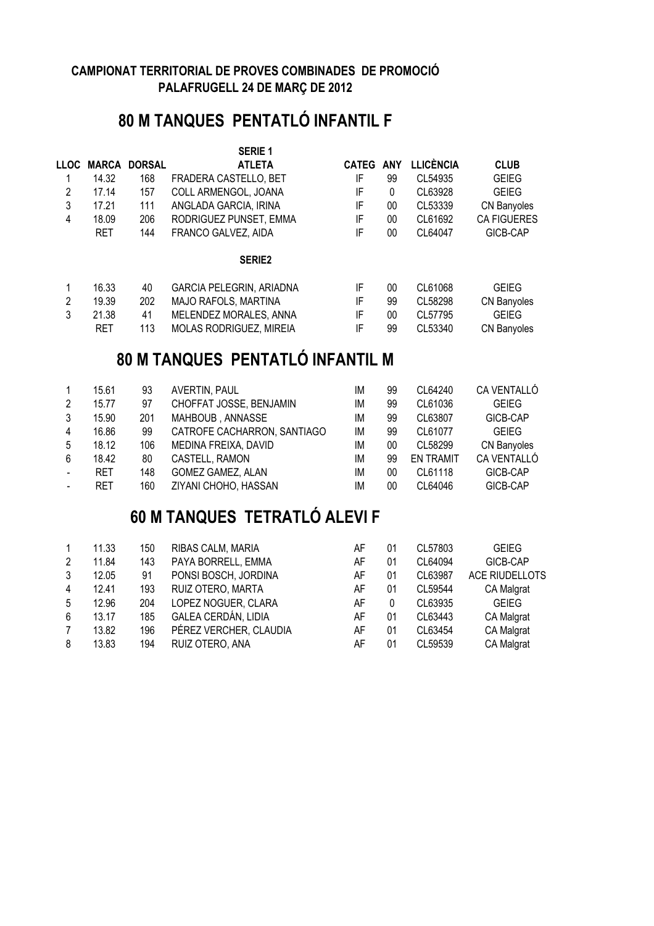## **80 M TANQUES PENTATLÓ INFANTIL F**

|               |            |               | <b>SERIE 1</b>                  |              |            |                  |                    |
|---------------|------------|---------------|---------------------------------|--------------|------------|------------------|--------------------|
| <b>LLOC</b>   | MARCA      | <b>DORSAL</b> | <b>ATLETA</b>                   | <b>CATEG</b> | <b>ANY</b> | <b>LLICÈNCIA</b> | <b>CLUB</b>        |
|               | 14.32      | 168           | FRADERA CASTELLO, BET           | IF           | 99         | CL54935          | <b>GEIEG</b>       |
| $\mathcal{P}$ | 17.14      | 157           | COLL ARMENGOL, JOANA            | IF           | 0          | CL63928          | <b>GEIEG</b>       |
| 3             | 17.21      | 111           | ANGLADA GARCIA, IRINA           | IF           | 00         | CL53339          | CN Banyoles        |
| 4             | 18.09      | 206           | RODRIGUEZ PUNSET, EMMA          | IF           | 00         | CL61692          | <b>CA FIGUERES</b> |
|               | <b>RET</b> | 144           | FRANCO GALVEZ, AIDA             | IF           | 00         | CL64047          | GICB-CAP           |
|               |            |               | <b>SERIE2</b>                   |              |            |                  |                    |
|               | 16.33      | 40            | <b>GARCIA PELEGRIN, ARIADNA</b> | IF           | 00         | CL61068          | <b>GEIEG</b>       |
| 2             | 19.39      | 202           | <b>MAJO RAFOLS, MARTINA</b>     | IF           | 99         | CL58298          | CN Banyoles        |
| 3             | 21.38      | 41            | MELENDEZ MORALES, ANNA          | IF           | 00         | CL57795          | <b>GEIEG</b>       |
|               | <b>RET</b> | 113           | <b>MOLAS RODRIGUEZ, MIREIA</b>  | IF           | 99         | CL53340          | CN Banyoles        |

## **80 M TANQUES PENTATLÓ INFANTIL M**

| $\mathbf{1}$ | 15.61      | 93  | AVERTIN, PAUL               | ΙM | 99 | CL64240          | CA VENTALLÓ  |
|--------------|------------|-----|-----------------------------|----|----|------------------|--------------|
| 2            | 15.77      | 97  | CHOFFAT JOSSE, BENJAMIN     | IM | 99 | CL61036          | <b>GEIEG</b> |
| 3            | 15.90      | 201 | MAHBOUB, ANNASSE            | IM | 99 | CL63807          | GICB-CAP     |
| 4            | 16.86      | 99  | CATROFE CACHARRON, SANTIAGO | IM | 99 | CL61077          | <b>GEIEG</b> |
| 5            | 18.12      | 106 | MEDINA FREIXA, DAVID        | ΙM | 00 | CL58299          | CN Banyoles  |
| 6            | 18.42      | 80  | CASTELL, RAMON              | ΙM | 99 | <b>EN TRAMIT</b> | CA VENTALLÓ  |
| $\sim$       | <b>RET</b> | 148 | <b>GOMEZ GAMEZ, ALAN</b>    | ΙM | 00 | CL61118          | GICB-CAP     |
|              | RET        | 160 | ZIYANI CHOHO, HASSAN        | ΙM | 00 | CL64046          | GICB-CAP     |

## **60 M TANQUES TETRATLÓ ALEVI F**

| $\mathbf{1}$   | 11.33 | 150 | RIBAS CALM, MARIA      | AF | 01       | CL57803 | <b>GEIEG</b>   |
|----------------|-------|-----|------------------------|----|----------|---------|----------------|
| 2              | 11.84 | 143 | PAYA BORRELL, EMMA     | AF | 01       | CL64094 | GICB-CAP       |
| 3              | 12.05 | 91  | PONSI BOSCH, JORDINA   | AF | 01       | CL63987 | ACE RIUDELLOTS |
| $\overline{4}$ | 12.41 | 193 | RUIZ OTERO, MARTA      | AF | 01       | CL59544 | CA Malgrat     |
| 5              | 12.96 | 204 | LOPEZ NOGUER, CLARA    | AF | $\Omega$ | CL63935 | <b>GEIEG</b>   |
| 6              | 13.17 | 185 | GALEA CERDÁN, LIDIA    | AF | 01       | CL63443 | CA Malgrat     |
| 7              | 13.82 | 196 | PÉREZ VERCHER, CLAUDIA | AF | 01       | CL63454 | CA Malgrat     |
| 8              | 13.83 | 194 | RUIZ OTERO, ANA        | AF | -01      | CL59539 | CA Malgrat     |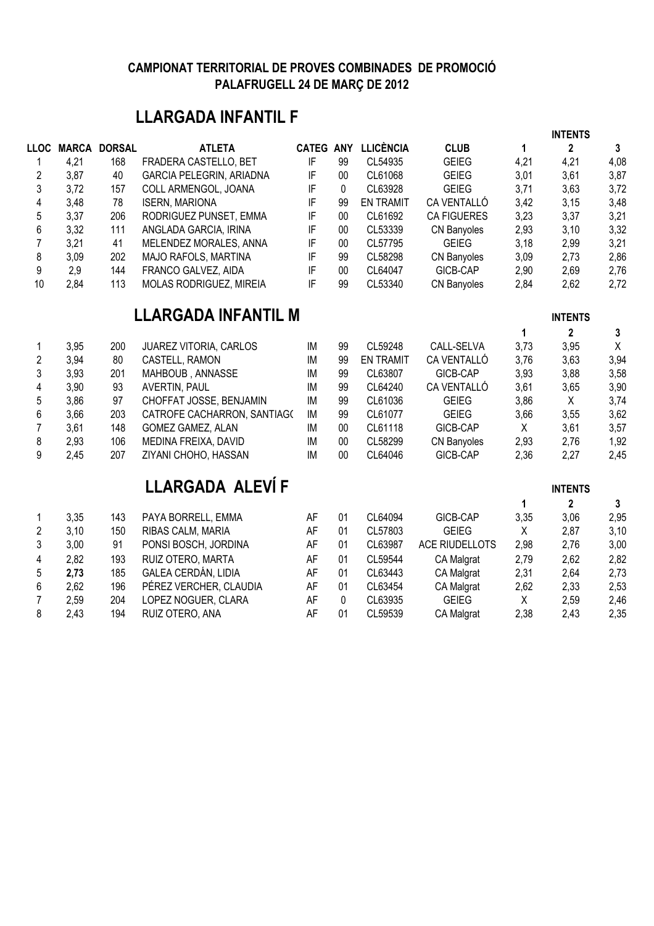## **LLARGADA INFANTIL F**

|                |      |                     |                             |                  |              |                  |                       |             | <b>INTENTS</b> |         |
|----------------|------|---------------------|-----------------------------|------------------|--------------|------------------|-----------------------|-------------|----------------|---------|
| <b>LLOC</b>    |      | <b>MARCA DORSAL</b> | <b>ATLETA</b>               | <b>CATEG ANY</b> |              | <b>LLICÈNCIA</b> | <b>CLUB</b>           | $\mathbf 1$ | $\overline{2}$ | 3       |
| 1              | 4,21 | 168                 | FRADERA CASTELLO, BET       | IF               | 99           | CL54935          | <b>GEIEG</b>          | 4,21        | 4,21           | 4,08    |
| $\overline{c}$ | 3,87 | 40                  | GARCIA PELEGRIN, ARIADNA    | IF               | $00\,$       | CL61068          | <b>GEIEG</b>          | 3,01        | 3,61           | 3,87    |
| 3              | 3,72 | 157                 | COLL ARMENGOL, JOANA        | IF               | $\mathbf{0}$ | CL63928          | <b>GEIEG</b>          | 3,71        | 3,63           | 3,72    |
| 4              | 3,48 | 78                  | <b>ISERN, MARIONA</b>       | IF               | 99           | <b>EN TRAMIT</b> | <b>CA VENTALLÓ</b>    | 3,42        | 3,15           | 3,48    |
| 5              | 3,37 | 206                 | RODRIGUEZ PUNSET, EMMA      | IF               | 00           | CL61692          | <b>CA FIGUERES</b>    | 3,23        | 3,37           | 3,21    |
| 6              | 3,32 | 111                 | ANGLADA GARCIA, IRINA       | IF               | 00           | CL53339          | CN Banyoles           | 2,93        | 3,10           | 3,32    |
| $\overline{7}$ | 3,21 | 41                  | MELENDEZ MORALES, ANNA      | IF               | 00           | CL57795          | <b>GEIEG</b>          | 3,18        | 2,99           | 3,21    |
| 8              | 3,09 | 202                 | MAJO RAFOLS, MARTINA        | IF               | 99           | CL58298          | <b>CN Banyoles</b>    | 3,09        | 2,73           | 2,86    |
| 9              | 2,9  | 144                 | FRANCO GALVEZ, AIDA         | IF               | 00           | CL64047          | GICB-CAP              | 2,90        | 2,69           | 2,76    |
| 10             | 2,84 | 113                 | MOLAS RODRIGUEZ, MIREIA     | IF               | 99           | CL53340          | CN Banyoles           | 2,84        | 2,62           | 2,72    |
|                |      |                     | <b>LLARGADA INFANTIL M</b>  |                  |              |                  |                       |             | <b>INTENTS</b> |         |
|                |      |                     |                             |                  |              |                  |                       | 1           | $\mathbf{2}$   | 3       |
| 1              | 3,95 | 200                 | JUAREZ VITORIA, CARLOS      | IM               | 99           | CL59248          | CALL-SELVA            | 3,73        | 3,95           | $\sf X$ |
| $\overline{2}$ | 3,94 | 80                  | CASTELL, RAMON              | IM               | 99           | <b>EN TRAMIT</b> | CA VENTALLÓ           | 3,76        | 3,63           | 3,94    |
| 3              | 3,93 | 201                 | MAHBOUB, ANNASSE            | IM               | 99           | CL63807          | GICB-CAP              | 3,93        | 3,88           | 3,58    |
| 4              | 3,90 | 93                  | AVERTIN, PAUL               | IM               | 99           | CL64240          | CA VENTALLÓ           | 3,61        | 3,65           | 3,90    |
| 5              | 3,86 | 97                  | CHOFFAT JOSSE, BENJAMIN     | IM               | 99           | CL61036          | <b>GEIEG</b>          | 3,86        | X              | 3,74    |
| 6              | 3,66 | 203                 | CATROFE CACHARRON, SANTIAG( | IM               | 99           | CL61077          | <b>GEIEG</b>          | 3,66        | 3,55           | 3,62    |
| $\overline{7}$ | 3,61 | 148                 | GOMEZ GAMEZ, ALAN           | IM               | 00           | CL61118          | GICB-CAP              | X           | 3,61           | 3,57    |
| 8              | 2,93 | 106                 | MEDINA FREIXA, DAVID        | IM               | $00\,$       | CL58299          | CN Banyoles           | 2,93        | 2,76           | 1,92    |
| 9              | 2,45 | 207                 | ZIYANI CHOHO, HASSAN        | IM               | $00\,$       | CL64046          | GICB-CAP              | 2,36        | 2,27           | 2,45    |
|                |      |                     | LLARGADA ALEVÍ F            |                  |              |                  |                       |             | <b>INTENTS</b> |         |
|                |      |                     |                             |                  |              |                  |                       | 1           | $\overline{2}$ | 3       |
| 1              | 3,35 | 143                 | PAYA BORRELL, EMMA          | AF               | 01           | CL64094          | GICB-CAP              | 3,35        | 3,06           | 2,95    |
| $\overline{2}$ | 3,10 | 150                 | RIBAS CALM, MARIA           | AF               | 01           | CL57803          | <b>GEIEG</b>          | X           | 2,87           | 3,10    |
| 3              | 3,00 | 91                  | PONSI BOSCH, JORDINA        | AF               | 01           | CL63987          | <b>ACE RIUDELLOTS</b> | 2,98        | 2,76           | 3,00    |
| 4              | 2,82 | 193                 | RUIZ OTERO, MARTA           | <b>AF</b>        | 01           | CL59544          | CA Malgrat            | 2,79        | 2,62           | 2,82    |
| 5              | 2,73 | 185                 | GALEA CERDÁN, LIDIA         | AF               | 01           | CL63443          | CA Malgrat            | 2,31        | 2,64           | 2,73    |
| 6              | 2,62 | 196                 | PÉREZ VERCHER, CLAUDIA      | AF               | 01           | CL63454          | CA Malgrat            | 2,62        | 2,33           | 2,53    |
| $\overline{7}$ | 2,59 | 204                 | LOPEZ NOGUER, CLARA         | AF               | 0            | CL63935          | <b>GEIEG</b>          | Χ           | 2,59           | 2,46    |
| 8              | 2,43 | 194                 | RUIZ OTERO, ANA             | AF               | 01           | CL59539          | CA Malgrat            | 2,38        | 2,43           | 2,35    |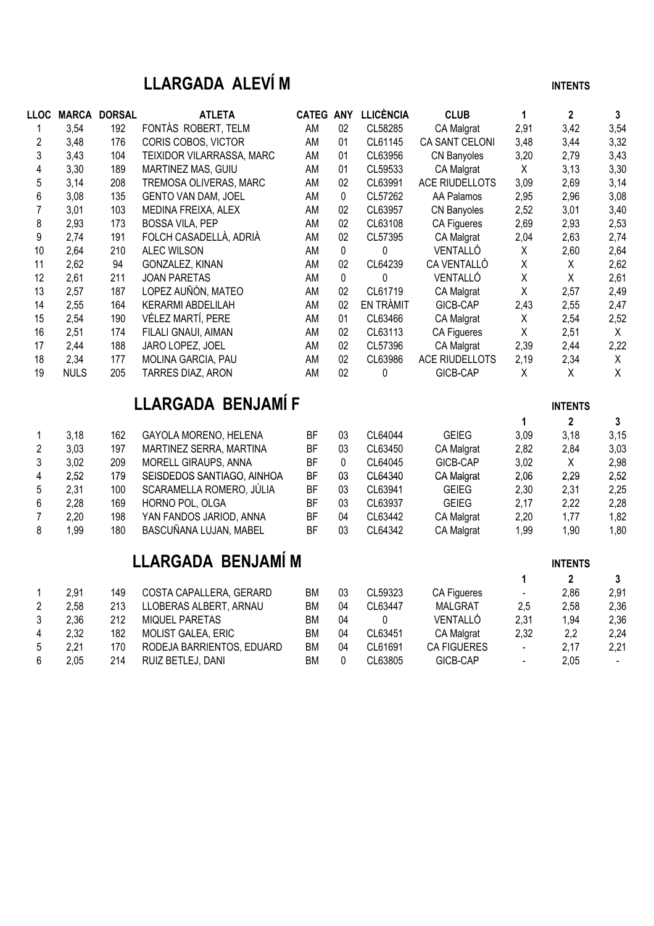## **LLARGADA ALEVÍ M INTENTS**

2,21 170 RODEJA BARRIENTOS, EDUARD BM 04 CL61691 CA FIGUERES - 2,17 2,21

| <b>LLOC</b>             |             | <b>MARCA DORSAL</b> | <b>ATLETA</b>              | <b>CATEG ANY</b> |             | <b>LLICÈNCIA</b> | <b>CLUB</b>           | 1            | $\overline{2}$ | $\mathbf{3}$ |
|-------------------------|-------------|---------------------|----------------------------|------------------|-------------|------------------|-----------------------|--------------|----------------|--------------|
| 1                       | 3,54        | 192                 | FONTÀS ROBERT, TELM        | AM               | 02          | CL58285          | CA Malgrat            | 2,91         | 3,42           | 3,54         |
| $\overline{c}$          | 3,48        | 176                 | CORIS COBOS, VICTOR        | AM               | 01          | CL61145          | CA SANT CELONI        | 3,48         | 3,44           | 3,32         |
| 3                       | 3,43        | 104                 | TEIXIDOR VILARRASSA, MARC  | AM               | 01          | CL63956          | CN Banyoles           | 3,20         | 2,79           | 3,43         |
| $\overline{\mathbf{4}}$ | 3,30        | 189                 | MARTINEZ MAS, GUIU         | AM               | 01          | CL59533          | CA Malgrat            | X            | 3,13           | 3,30         |
| $\sqrt{5}$              | 3,14        | 208                 | TREMOSA OLIVERAS, MARC     | AM               | 02          | CL63991          | <b>ACE RIUDELLOTS</b> | 3,09         | 2,69           | 3,14         |
| 6                       | 3,08        | 135                 | GENTO VAN DAM, JOEL        | AM               | $\mathbf 0$ | CL57262          | AA Palamos            | 2,95         | 2,96           | 3,08         |
| $\overline{7}$          | 3,01        | 103                 | MEDINA FREIXA, ALEX        | AM               | 02          | CL63957          | <b>CN Banyoles</b>    | 2,52         | 3,01           | 3,40         |
| 8                       | 2,93        | 173                 | <b>BOSSA VILA, PEP</b>     | AM               | 02          | CL63108          | CA Figueres           | 2,69         | 2,93           | 2,53         |
| 9                       | 2,74        | 191                 | FOLCH CASADELLÀ, ADRIÀ     | AM               | 02          | CL57395          | CA Malgrat            | 2,04         | 2,63           | 2,74         |
| 10                      | 2,64        | 210                 | <b>ALEC WILSON</b>         | AM               | 0           | 0                | VENTALLÓ              | Χ            | 2,60           | 2,64         |
| 11                      | 2,62        | 94                  | GONZALEZ, KINAN            | AM               | 02          | CL64239          | CA VENTALLÓ           | $\mathsf X$  | X              | 2,62         |
| 12                      | 2,61        | 211                 | <b>JOAN PARETAS</b>        | AM               | $\pmb{0}$   | 0                | VENTALLÓ              | $\mathsf X$  | X              | 2,61         |
| 13                      | 2,57        | 187                 | LOPEZ AUÑÓN, MATEO         | AM               | 02          | CL61719          | CA Malgrat            | $\mathsf{X}$ | 2,57           | 2,49         |
| 14                      | 2,55        | 164                 | <b>KERARMI ABDELILAH</b>   | AM               | 02          | EN TRÀMIT        | GICB-CAP              | 2,43         | 2,55           | 2,47         |
| 15                      | 2,54        | 190                 | VÉLEZ MARTÍ, PERE          | AM               | 01          | CL63466          | CA Malgrat            | X            | 2,54           | 2,52         |
| 16                      | 2,51        | 174                 | FILALI GNAUI, AIMAN        | AM               | 02          | CL63113          | CA Figueres           | $\mathsf{X}$ | 2,51           | $\mathsf{X}$ |
| 17                      | 2,44        | 188                 | JARO LOPEZ, JOEL           | AM               | 02          | CL57396          | CA Malgrat            | 2,39         | 2,44           | 2,22         |
| 18                      | 2,34        | 177                 | MOLINA GARCIA, PAU         | AM               | 02          | CL63986          | ACE RIUDELLOTS        | 2,19         | 2,34           | X            |
| 19                      | <b>NULS</b> | 205                 | TARRES DIAZ, ARON          | AM               | 02          | 0                | GICB-CAP              | X            | X              | $\mathsf{X}$ |
|                         |             |                     | LLARGADA BENJAMÍ F         |                  |             |                  |                       |              | <b>INTENTS</b> |              |
|                         |             |                     |                            |                  |             |                  |                       | 1            | $\mathbf 2$    | $\mathbf{3}$ |
| 1                       | 3,18        | 162                 | GAYOLA MORENO, HELENA      | BF               | 03          | CL64044          | <b>GEIEG</b>          | 3,09         | 3,18           | 3,15         |
| $\overline{2}$          | 3,03        | 197                 | MARTINEZ SERRA, MARTINA    | <b>BF</b>        | 03          | CL63450          | CA Malgrat            | 2,82         | 2,84           | 3,03         |
| 3                       | 3,02        | 209                 | MORELL GIRAUPS, ANNA       | <b>BF</b>        | $\pmb{0}$   | CL64045          | GICB-CAP              | 3,02         | X              | 2,98         |
| 4                       | 2,52        | 179                 | SEISDEDOS SANTIAGO, AINHOA | <b>BF</b>        | 03          | CL64340          | CA Malgrat            | 2,06         | 2,29           | 2,52         |
| 5                       | 2,31        | 100                 | SCARAMELLA ROMERO, JÚLIA   | <b>BF</b>        | 03          | CL63941          | <b>GEIEG</b>          | 2,30         | 2,31           | 2,25         |
| 6                       | 2,28        | 169                 | HORNO POL, OLGA            | <b>BF</b>        | 03          | CL63937          | <b>GEIEG</b>          | 2,17         | 2,22           | 2,28         |
| $\overline{7}$          | 2,20        | 198                 | YAN FANDOS JARIOD, ANNA    | <b>BF</b>        | 04          | CL63442          | CA Malgrat            | 2,20         | 1,77           | 1,82         |
| 8                       | 1,99        | 180                 | BASCUÑANA LUJAN, MABEL     | <b>BF</b>        | 03          | CL64342          | CA Malgrat            | 1,99         | 1,90           | 1,80         |
|                         |             |                     | LLARGADA BENJAMÍ M         |                  |             |                  |                       |              | <b>INTENTS</b> |              |
|                         |             |                     |                            |                  |             |                  |                       | 1            | $\mathbf 2$    | $\mathbf{3}$ |
| 1                       | 2,91        | 149                 | COSTA CAPALLERA, GERARD    | <b>BM</b>        | 03          | CL59323          | CA Figueres           |              | 2,86           | 2,91         |
| $\sqrt{2}$              | 2,58        | 213                 | LLOBERAS ALBERT, ARNAU     | <b>BM</b>        | 04          | CL63447          | <b>MALGRAT</b>        | 2,5          | 2,58           | 2,36         |
| 3                       | 2,36        | 212                 | MIQUEL PARETAS             | <b>BM</b>        | 04          | 0                | VENTALLÓ              | 2,31         | 1,94           | 2,36         |
| 4                       | 2,32        | 182                 | MOLIST GALEA, ERIC         | <b>BM</b>        | 04          | CL63451          | CA Malgrat            | 2,32         | 2,2            | 2,24         |

2,32 182 MOLIST GALEA, ERIC BM 04 CL63451 CA Malgrat 2,32 2,2 2,24<br>
5 2,21 170 RODEJA BARRIENTOS, EDUARD BM 04 CL61691 CA FIGUERES - 2,17 2,21<br>
6 2,05 214 RUIZ BETLEJ, DANI BM 0 CL63805 GICB-CAP - 2,05 -

2,05 214 RUIZ BETLEJ, DANI BM 0 CL63805 GICB-CAP - 2,05 -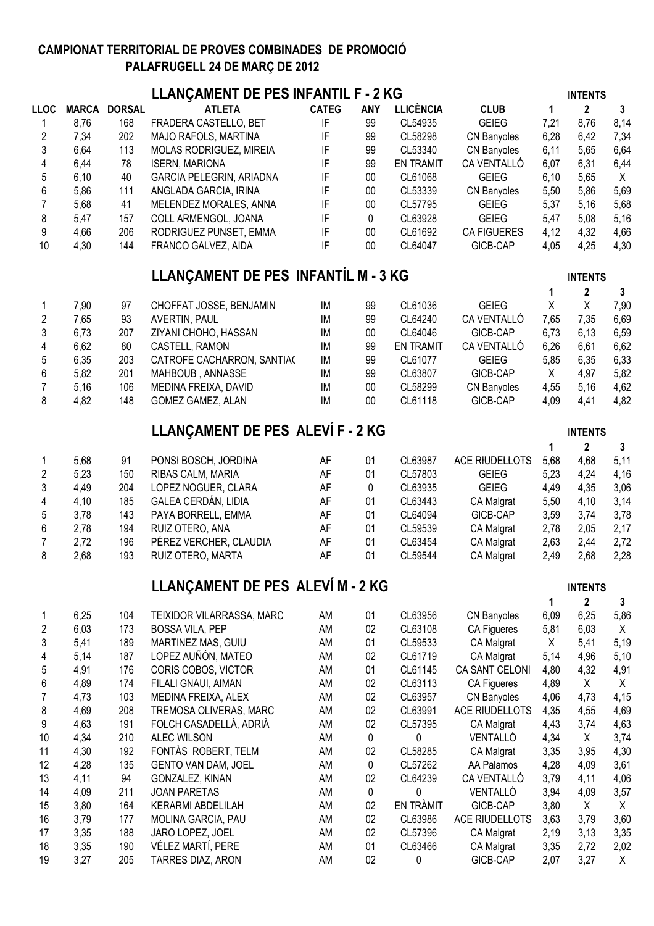| LLANÇAMENT DE PES INFANTIL F - 2 KG<br><b>INTENTS</b> |              |                     |                                          |              |            |                    |                              |              |                |              |  |
|-------------------------------------------------------|--------------|---------------------|------------------------------------------|--------------|------------|--------------------|------------------------------|--------------|----------------|--------------|--|
| <b>LLOC</b>                                           |              | <b>MARCA DORSAL</b> | <b>ATLETA</b>                            | <b>CATEG</b> | <b>ANY</b> | <b>LLICÈNCIA</b>   | <b>CLUB</b>                  | 1            | $\overline{2}$ | $\mathbf{3}$ |  |
| 1                                                     | 8,76         | 168                 | FRADERA CASTELLO, BET                    | IF           | 99         | CL54935            | <b>GEIEG</b>                 | 7,21         | 8,76           | 8,14         |  |
| 2                                                     | 7,34         | 202                 | MAJO RAFOLS, MARTINA                     | IF           | 99         | CL58298            | CN Banyoles                  | 6,28         | 6,42           | 7,34         |  |
| 3                                                     | 6,64         | 113                 | MOLAS RODRIGUEZ, MIREIA                  | IF           | 99         | CL53340            | CN Banyoles                  | 6,11         | 5,65           | 6,64         |  |
| 4                                                     | 6,44         | 78                  | <b>ISERN, MARIONA</b>                    | IF           | 99         | <b>EN TRAMIT</b>   | CA VENTALLÓ                  | 6,07         | 6,31           | 6,44         |  |
| 5                                                     | 6,10         | 40                  | GARCIA PELEGRIN, ARIADNA                 | IF           | $00\,$     | CL61068            | <b>GEIEG</b>                 | 6, 10        | 5,65           | $\sf X$      |  |
| 6                                                     | 5,86         | 111                 | ANGLADA GARCIA, IRINA                    | IF           | $00\,$     | CL53339            | CN Banyoles                  | 5,50         | 5,86           | 5,69         |  |
| $\overline{7}$                                        | 5,68         | 41                  | MELENDEZ MORALES, ANNA                   | IF           | $00\,$     | CL57795            | <b>GEIEG</b>                 | 5,37         | 5,16           | 5,68         |  |
| 8                                                     | 5,47         | 157                 | COLL ARMENGOL, JOANA                     | IF           | 0          | CL63928            | <b>GEIEG</b>                 | 5,47         | 5,08           | 5,16         |  |
| 9                                                     | 4,66         | 206                 | RODRIGUEZ PUNSET, EMMA                   | IF           | $00\,$     | CL61692            | <b>CA FIGUERES</b>           | 4,12         | 4,32           | 4,66         |  |
| 10                                                    | 4,30         | 144                 | FRANCO GALVEZ, AIDA                      | IF           | 00         | CL64047            | GICB-CAP                     | 4,05         | 4,25           | 4,30         |  |
|                                                       |              |                     | LLANÇAMENT DE PES INFANTÍL M - 3 KG      |              |            |                    |                              |              | <b>INTENTS</b> |              |  |
|                                                       |              |                     |                                          |              |            |                    |                              | $\mathbf{1}$ | $\overline{2}$ | 3            |  |
| 1                                                     | 7,90         | 97                  | CHOFFAT JOSSE, BENJAMIN                  | IM           | 99         | CL61036            | <b>GEIEG</b>                 | X            | X              | 7,90         |  |
| $\overline{c}$                                        | 7,65         | 93                  | AVERTIN, PAUL                            | IM           | 99         | CL64240            | CA VENTALLÓ                  | 7,65         | 7,35           | 6,69         |  |
| 3                                                     | 6,73         | 207                 | ZIYANI CHOHO, HASSAN                     | IM           | 00         | CL64046            | GICB-CAP                     | 6,73         | 6, 13          | 6,59         |  |
| 4                                                     | 6,62         | 80                  | CASTELL, RAMON                           | IM           | 99         | <b>EN TRAMIT</b>   | CA VENTALLÓ                  | 6,26         | 6,61           | 6,62         |  |
| 5                                                     | 6,35         | 203                 | CATROFE CACHARRON, SANTIA(               | IM           | 99         | CL61077            | <b>GEIEG</b>                 | 5,85         | 6,35           | 6,33         |  |
| 6                                                     | 5,82         | 201                 | MAHBOUB, ANNASSE                         | IM           | 99         | CL63807            | GICB-CAP                     | X            | 4,97           | 5,82         |  |
| $\overline{7}$                                        | 5,16         | 106                 | MEDINA FREIXA, DAVID                     | IM           | $00\,$     | CL58299            | CN Banyoles                  | 4,55         | 5,16           | 4,62         |  |
| 8                                                     | 4,82         | 148                 | <b>GOMEZ GAMEZ, ALAN</b>                 | IM           | 00         | CL61118            | GICB-CAP                     | 4,09         | 4,41           | 4,82         |  |
|                                                       |              |                     | LLANÇAMENT DE PES ALEVÍ F - 2 KG         |              |            |                    |                              |              | <b>INTENTS</b> |              |  |
|                                                       |              |                     |                                          |              |            |                    |                              | 1            | $2^{\circ}$    | 3            |  |
| 1                                                     | 5,68         | 91                  | PONSI BOSCH, JORDINA                     | AF           | 01         | CL63987            | <b>ACE RIUDELLOTS</b>        | 5,68         | 4,68           | 5,11         |  |
| $\overline{c}$<br>3                                   | 5,23         | 150<br>204          | RIBAS CALM, MARIA<br>LOPEZ NOGUER, CLARA | AF<br>AF     | 01         | CL57803<br>CL63935 | <b>GEIEG</b><br><b>GEIEG</b> | 5,23         | 4,24           | 4,16         |  |
| 4                                                     | 4,49<br>4,10 | 185                 | GALEA CERDÁN, LIDIA                      | AF           | 0<br>01    | CL63443            | CA Malgrat                   | 4,49<br>5,50 | 4,35<br>4,10   | 3,06<br>3,14 |  |
| 5                                                     | 3,78         | 143                 | PAYA BORRELL, EMMA                       | AF           | 01         | CL64094            | GICB-CAP                     | 3,59         | 3,74           | 3,78         |  |
| 6                                                     | 2,78         | 194                 | RUIZ OTERO, ANA                          | AF           | 01         | CL59539            | CA Malgrat                   | 2,78         | 2,05           | 2,17         |  |
| $\overline{7}$                                        | 2,72         | 196                 | PÉREZ VERCHER, CLAUDIA                   | AF           | 01         | CL63454            | CA Malgrat                   | 2,63         | 2,44           | 2,72         |  |
| 8                                                     | 2,68         | 193                 | RUIZ OTERO, MARTA                        | AF           | 01         | CL59544            | CA Malgrat                   | 2,49         | 2,68           | 2,28         |  |
|                                                       |              |                     | LLANÇAMENT DE PES ALEVI M - 2 KG         |              |            |                    |                              |              | <b>INTENTS</b> |              |  |
|                                                       |              |                     |                                          |              |            |                    |                              | 1            | $\mathbf 2$    | 3            |  |
| 1                                                     | 6,25         | 104                 | TEIXIDOR VILARRASSA, MARC                | AM           | 01         | CL63956            | CN Banyoles                  | 6,09         | 6,25           | 5,86         |  |
| $\overline{c}$                                        | 6,03         | 173                 | <b>BOSSA VILA, PEP</b>                   | AM           | 02         | CL63108            | CA Figueres                  | 5,81         | 6,03           | $\mathsf{X}$ |  |
| 3                                                     | 5,41         | 189                 | MARTINEZ MAS, GUIU                       | AM           | 01         | CL59533            | CA Malgrat                   | X            | 5,41           | 5,19         |  |
| 4                                                     | 5,14         | 187                 | LOPEZ AUÑÓN, MATEO                       | AM           | 02         | CL61719            | CA Malgrat                   | 5,14         | 4,96           | 5,10         |  |
| 5                                                     | 4,91         | 176                 | CORIS COBOS, VICTOR                      | AM           | 01         | CL61145            | CA SANT CELONI               | 4,80         | 4,32           | 4,91         |  |
| 6                                                     | 4,89         | 174                 | FILALI GNAUI, AIMAN                      | AM           | 02         | CL63113            | CA Figueres                  | 4,89         | X              | X            |  |
| $\overline{7}$                                        | 4,73         | 103                 | MEDINA FREIXA, ALEX                      | AM           | 02         | CL63957            | CN Banyoles                  | 4,06         | 4,73           | 4,15         |  |
| 8                                                     | 4,69         | 208                 | TREMOSA OLIVERAS, MARC                   | AM           | 02         | CL63991            | ACE RIUDELLOTS               | 4,35         | 4,55           | 4,69         |  |
| 9                                                     | 4,63         | 191                 | FOLCH CASADELLÀ, ADRIÀ                   | AM           | 02         | CL57395            | CA Malgrat                   | 4,43         | 3,74           | 4,63         |  |
| 10                                                    | 4,34         | 210                 | ALEC WILSON                              | AM           | 0          | 0                  | VENTALLÓ                     | 4,34         | X              | 3,74         |  |
| 11                                                    | 4,30         | 192                 | FONTÀS ROBERT, TELM                      | AM           | 02         | CL58285            | CA Malgrat                   | 3,35         | 3,95           | 4,30         |  |
| 12                                                    | 4,28         | 135                 | GENTO VAN DAM, JOEL                      | AM           | 0          | CL57262            | AA Palamos                   | 4,28         | 4,09           | 3,61         |  |
| 13                                                    | 4,11         | 94                  | GONZALEZ, KINAN                          | AM           | 02         | CL64239            | CA VENTALLÓ                  | 3,79         | 4,11           | 4,06         |  |
| 14                                                    | 4,09         | 211                 | <b>JOAN PARETAS</b>                      | AM           | 0          | 0                  | VENTALLÓ                     | 3,94         | 4,09           | 3,57         |  |
| 15                                                    | 3,80         | 164                 | KERARMI ABDELILAH                        | AM           | 02         | EN TRÀMIT          | GICB-CAP                     | 3,80         | X              | X            |  |
| 16                                                    | 3,79         | 177                 | MOLINA GARCIA, PAU                       | AM           | 02         | CL63986            | ACE RIUDELLOTS               | 3,63         | 3,79           | 3,60         |  |
| 17                                                    | 3,35         | 188                 | JARO LOPEZ, JOEL                         | AM           | 02         | CL57396            | CA Malgrat                   | 2,19         | 3,13           | 3,35         |  |
| 18                                                    | 3,35         | 190                 | VÉLEZ MARTÍ, PERE                        | AM           | 01         | CL63466            | CA Malgrat                   | 3,35         | 2,72           | 2,02         |  |
| 19                                                    | 3,27         | 205                 | TARRES DIAZ, ARON                        | AM           | 02         | 0                  | GICB-CAP                     | 2,07         | 3,27           | X            |  |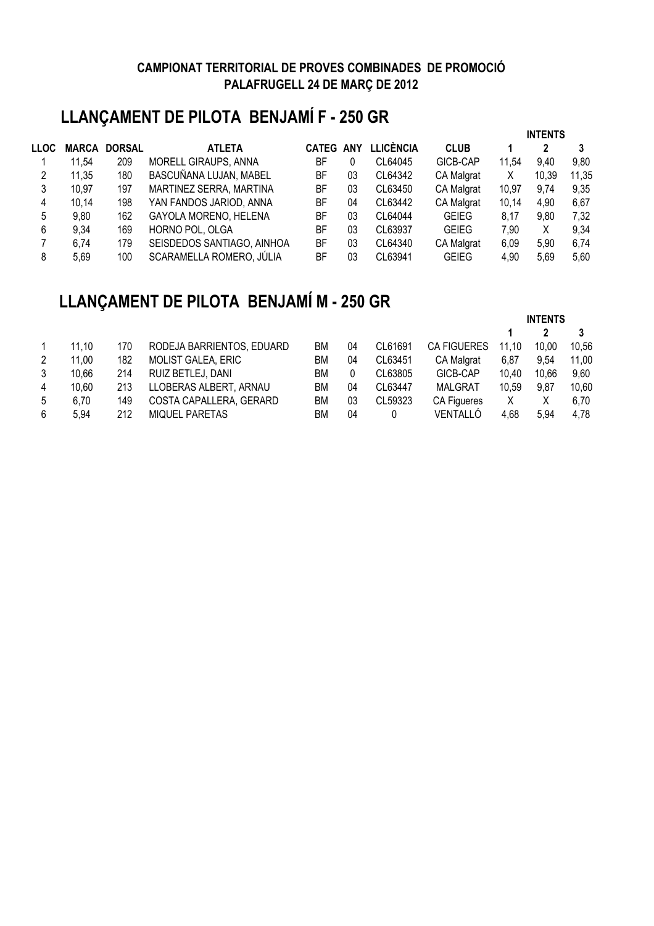# **LLANÇAMENT DE PILOTA BENJAMÍ F - 250 GR**

|      |              |               |                            |                  |    |                  |                   | <b>INTENTS</b><br>2 |       |       |  |
|------|--------------|---------------|----------------------------|------------------|----|------------------|-------------------|---------------------|-------|-------|--|
| LLOC | <b>MARCA</b> | <b>DORSAL</b> | <b>ATLETA</b>              | <b>CATEG ANY</b> |    | <b>LLICÈNCIA</b> | <b>CLUB</b>       |                     |       | 3     |  |
|      | 11,54        | 209           | MORELL GIRAUPS, ANNA       | BF               | 0  | CL64045          | GICB-CAP          | 11.54               | 9.40  | 9,80  |  |
| 2    | 11,35        | 180           | BASCUÑANA LUJAN, MABEL     | BF               | 03 | CL64342          | <b>CA Malgrat</b> | X                   | 10,39 | 11,35 |  |
| 3    | 10,97        | 197           | MARTINEZ SERRA, MARTINA    | BF               | 03 | CL63450          | <b>CA Malgrat</b> | 10,97               | 9,74  | 9,35  |  |
| 4    | 10,14        | 198           | YAN FANDOS JARIOD, ANNA    | BF               | 04 | CL63442          | <b>CA Malgrat</b> | 10,14               | 4,90  | 6,67  |  |
| 5    | 9,80         | 162           | GAYOLA MORENO, HELENA      | BF               | 03 | CL64044          | <b>GEIEG</b>      | 8,17                | 9,80  | 7,32  |  |
| 6    | 9,34         | 169           | HORNO POL, OLGA            | BF               | 03 | CL63937          | <b>GEIEG</b>      | 7,90                | Χ     | 9,34  |  |
|      | 6,74         | 179           | SEISDEDOS SANTIAGO, AINHOA | BF               | 03 | CL64340          | <b>CA Malgrat</b> | 6,09                | 5,90  | 6,74  |  |
| 8    | 5.69         | 100           | SCARAMELLA ROMERO, JÚLIA   | BF               | 03 | CL63941          | <b>GEIEG</b>      | 4,90                | 5,69  | 5,60  |  |

# **LLANÇAMENT DE PILOTA BENJAMÍ M - 250 GR**

|       |     |                           |    |    |         |                    | <b>INIENIJ</b> |       |       |
|-------|-----|---------------------------|----|----|---------|--------------------|----------------|-------|-------|
|       |     |                           |    |    |         |                    |                |       |       |
| 11.10 | 170 | RODEJA BARRIENTOS, EDUARD | ВM | 04 | CL61691 | <b>CA FIGUERES</b> | 11.10          | 10.00 | 10,56 |
| 11,00 | 182 | <b>MOLIST GALEA, ERIC</b> | ВM | 04 | CL63451 | <b>CA Malgrat</b>  | 6,87           | 9.54  | 11,00 |
| 10,66 | 214 | RUIZ BETLEJ, DANI         | ВM | 0  | CL63805 | GICB-CAP           | 10.40          | 10.66 | 9,60  |
| 10.60 | 213 | LLOBERAS ALBERT, ARNAU    | ВM | 04 | CL63447 | <b>MALGRAT</b>     | 10.59          | 9,87  | 10,60 |
| 6,70  | 149 | COSTA CAPALLERA, GERARD   | ВM | 03 | CL59323 | <b>CA Figueres</b> | X              | Χ     | 6.70  |
| 5.94  | 212 | <b>MIQUEL PARETAS</b>     | ВM | 04 |         | VENTALLÓ           | 4,68           | 5.94  | 4.78  |
|       |     |                           |    |    |         |                    |                |       |       |

**INTENTS**